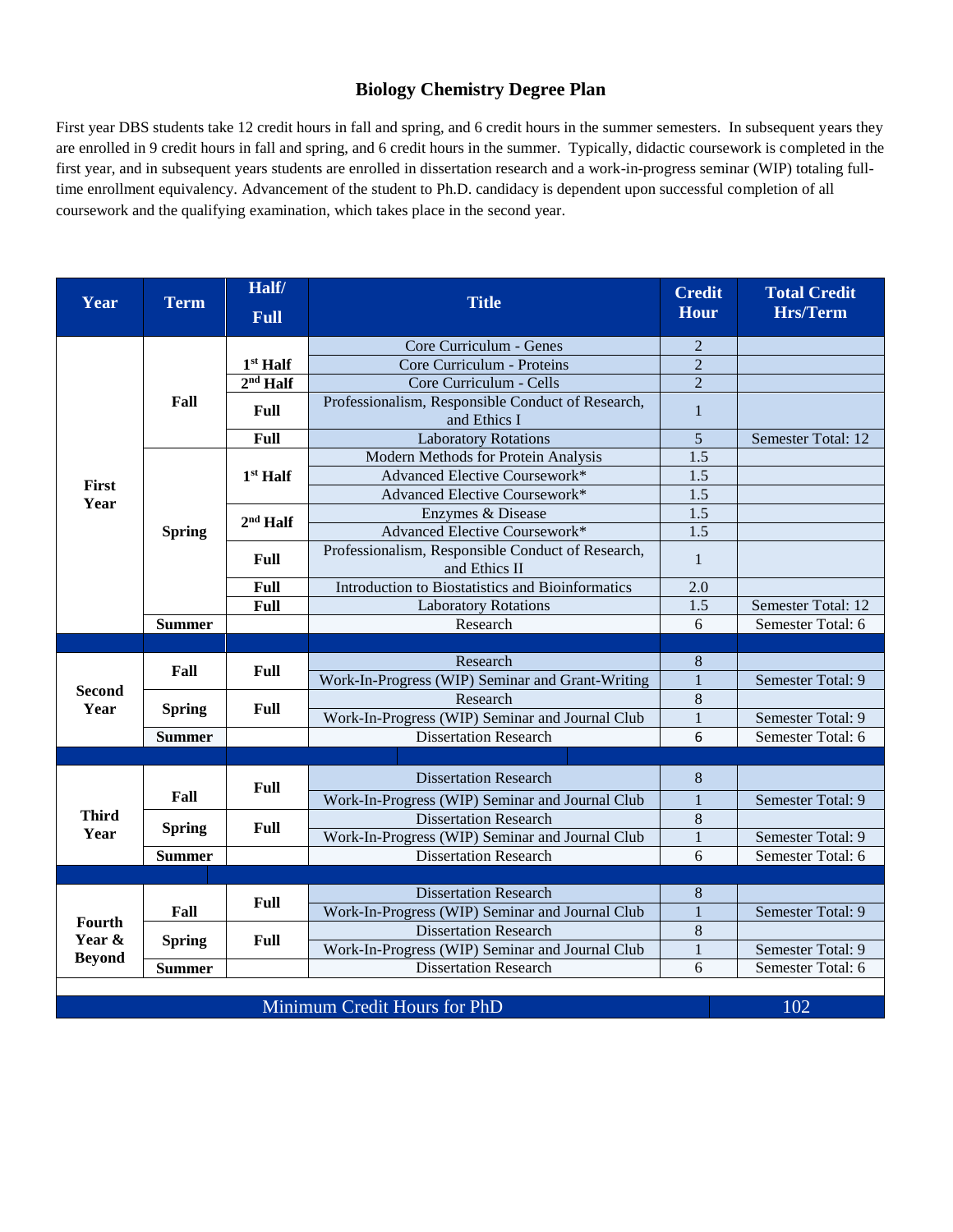## **Biology Chemistry Degree Plan**

First year DBS students take 12 credit hours in fall and spring, and 6 credit hours in the summer semesters. In subsequent years they are enrolled in 9 credit hours in fall and spring, and 6 credit hours in the summer. Typically, didactic coursework is completed in the first year, and in subsequent years students are enrolled in dissertation research and a work-in-progress seminar (WIP) totaling fulltime enrollment equivalency. Advancement of the student to Ph.D. candidacy is dependent upon successful completion of all coursework and the qualifying examination, which takes place in the second year.

| Year                              | <b>Term</b>   | Half/<br><b>Full</b> | <b>Title</b>                                                       | <b>Credit</b><br><b>Hour</b> | <b>Total Credit</b><br><b>Hrs/Term</b> |
|-----------------------------------|---------------|----------------------|--------------------------------------------------------------------|------------------------------|----------------------------------------|
| First<br>Year                     | Fall          |                      | Core Curriculum - Genes                                            | $\overline{2}$               |                                        |
|                                   |               | $1st$ Half           | Core Curriculum - Proteins                                         | $\overline{2}$               |                                        |
|                                   |               | $2nd$ Half           | Core Curriculum - Cells                                            | $\overline{2}$               |                                        |
|                                   |               | Full                 | Professionalism, Responsible Conduct of Research,<br>and Ethics I  | 1                            |                                        |
|                                   |               | Full                 | <b>Laboratory Rotations</b>                                        | 5                            | Semester Total: 12                     |
|                                   | <b>Spring</b> | 1 <sup>st</sup> Half | Modern Methods for Protein Analysis                                | 1.5                          |                                        |
|                                   |               |                      | Advanced Elective Coursework*                                      | 1.5                          |                                        |
|                                   |               |                      | Advanced Elective Coursework*                                      | $\overline{1.5}$             |                                        |
|                                   |               | 2 <sup>nd</sup> Half | Enzymes & Disease                                                  | 1.5                          |                                        |
|                                   |               |                      | Advanced Elective Coursework*                                      | 1.5                          |                                        |
|                                   |               | Full                 | Professionalism, Responsible Conduct of Research,<br>and Ethics II | 1                            |                                        |
|                                   |               | Full                 | Introduction to Biostatistics and Bioinformatics                   | 2.0                          |                                        |
|                                   |               | Full                 | <b>Laboratory Rotations</b>                                        | 1.5                          | Semester Total: 12                     |
|                                   | <b>Summer</b> |                      | Research                                                           | 6                            | Semester Total: 6                      |
|                                   |               |                      |                                                                    |                              |                                        |
| <b>Second</b><br>Year             | Fall          | Full                 | Research                                                           | 8                            |                                        |
|                                   |               |                      | Work-In-Progress (WIP) Seminar and Grant-Writing                   |                              | Semester Total: 9                      |
|                                   | <b>Spring</b> | Full                 | Research                                                           | 8                            |                                        |
|                                   |               |                      | Work-In-Progress (WIP) Seminar and Journal Club                    | 1                            | Semester Total: 9                      |
|                                   | <b>Summer</b> |                      | <b>Dissertation Research</b>                                       | 6                            | Semester Total: 6                      |
|                                   |               |                      |                                                                    |                              |                                        |
| <b>Third</b><br>Year              | Fall          | Full                 | <b>Dissertation Research</b>                                       | 8                            |                                        |
|                                   |               |                      | Work-In-Progress (WIP) Seminar and Journal Club                    |                              | Semester Total: 9                      |
|                                   | <b>Spring</b> | Full                 | <b>Dissertation Research</b>                                       | 8                            |                                        |
|                                   |               |                      | Work-In-Progress (WIP) Seminar and Journal Club                    | $\mathbf{1}$                 | Semester Total: 9                      |
|                                   | <b>Summer</b> |                      | <b>Dissertation Research</b>                                       | 6                            | Semester Total: 6                      |
|                                   |               |                      |                                                                    |                              |                                        |
| Fourth<br>Year &<br><b>Beyond</b> | Fall          | Full                 | <b>Dissertation Research</b>                                       | 8                            |                                        |
|                                   |               |                      | Work-In-Progress (WIP) Seminar and Journal Club                    |                              | Semester Total: 9                      |
|                                   | <b>Spring</b> | Full                 | <b>Dissertation Research</b>                                       | 8                            |                                        |
|                                   |               |                      | Work-In-Progress (WIP) Seminar and Journal Club                    | $\mathbf{1}$                 | Semester Total: 9                      |
|                                   | <b>Summer</b> |                      | <b>Dissertation Research</b>                                       | 6                            | Semester Total: 6                      |
|                                   |               |                      |                                                                    |                              |                                        |
| Minimum Credit Hours for PhD      |               |                      |                                                                    |                              | 102                                    |